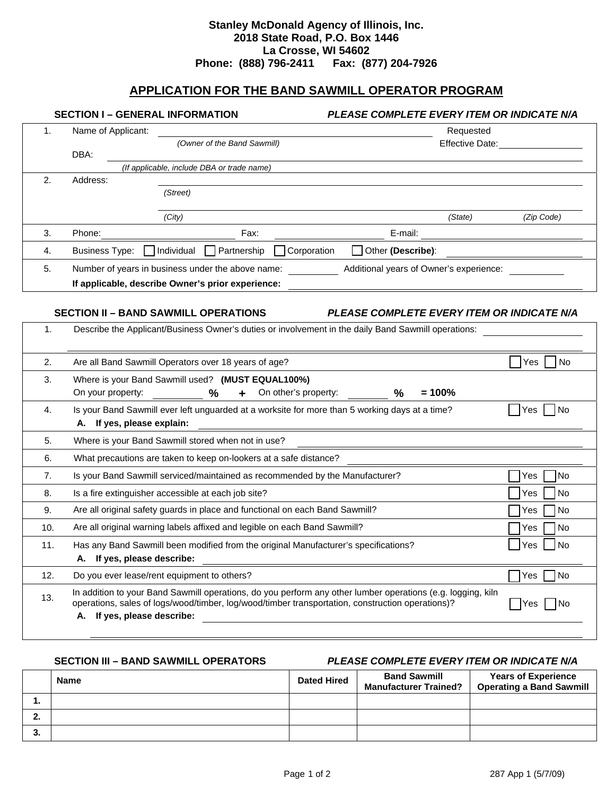## **Stanley McDonald Agency of Illinois, Inc. 2018 State Road, P.O. Box 1446 La Crosse, WI 54602 Phone: (888) 796-2411 Fax: (877) 204-7926**

# **APPLICATION FOR THE BAND SAWMILL OPERATOR PROGRAM**

| <b>SECTION I - GENERAL INFORMATION</b> |                                                                                                  |                                                                                                                                                                                                                 |                      | PLEASE COMPLETE EVERY ITEM OR INDICATE N/A                 |         |                                  |  |
|----------------------------------------|--------------------------------------------------------------------------------------------------|-----------------------------------------------------------------------------------------------------------------------------------------------------------------------------------------------------------------|----------------------|------------------------------------------------------------|---------|----------------------------------|--|
| 1.                                     | Name of Applicant:                                                                               |                                                                                                                                                                                                                 |                      | Requested                                                  |         |                                  |  |
|                                        |                                                                                                  | (Owner of the Band Sawmill)                                                                                                                                                                                     |                      |                                                            |         | Effective Date: ________________ |  |
|                                        | DBA:                                                                                             | (If applicable, include DBA or trade name)                                                                                                                                                                      |                      |                                                            |         |                                  |  |
| 2.                                     | Address:                                                                                         |                                                                                                                                                                                                                 |                      |                                                            |         |                                  |  |
|                                        |                                                                                                  | (Street)                                                                                                                                                                                                        |                      |                                                            |         |                                  |  |
|                                        |                                                                                                  | (City)                                                                                                                                                                                                          |                      |                                                            | (State) | (Zip Code)                       |  |
| 3.                                     | Phone:                                                                                           | Fax:                                                                                                                                                                                                            |                      | E-mail:                                                    |         |                                  |  |
| 4.                                     | Business Type: [                                                                                 | Individual<br>Partnership                                                                                                                                                                                       | Corporation          | Other (Describe):                                          |         |                                  |  |
| 5.                                     |                                                                                                  | Number of years in business under the above name:                                                                                                                                                               |                      | Additional years of Owner's experience:                    |         |                                  |  |
|                                        |                                                                                                  | If applicable, describe Owner's prior experience:                                                                                                                                                               |                      |                                                            |         |                                  |  |
|                                        |                                                                                                  |                                                                                                                                                                                                                 |                      |                                                            |         |                                  |  |
|                                        |                                                                                                  | <b>SECTION II - BAND SAWMILL OPERATIONS</b>                                                                                                                                                                     |                      | PLEASE COMPLETE EVERY ITEM OR INDICATE N/A                 |         |                                  |  |
| 1.                                     |                                                                                                  | Describe the Applicant/Business Owner's duties or involvement in the daily Band Sawmill operations:                                                                                                             |                      |                                                            |         |                                  |  |
|                                        |                                                                                                  |                                                                                                                                                                                                                 |                      |                                                            |         |                                  |  |
| 2.                                     |                                                                                                  | Are all Band Sawmill Operators over 18 years of age?                                                                                                                                                            |                      |                                                            |         | No<br>Yes                        |  |
| 3.                                     |                                                                                                  | Where is your Band Sawmill used? (MUST EQUAL100%)                                                                                                                                                               |                      |                                                            |         |                                  |  |
|                                        | On your property:                                                                                | %<br>$+$                                                                                                                                                                                                        | On other's property: | $= 100%$<br>%                                              |         |                                  |  |
| 4.                                     |                                                                                                  | Is your Band Sawmill ever left unguarded at a worksite for more than 5 working days at a time?                                                                                                                  |                      |                                                            |         | No<br><b>Yes</b>                 |  |
|                                        | A. If yes, please explain:                                                                       |                                                                                                                                                                                                                 |                      |                                                            |         |                                  |  |
| 5.                                     | Where is your Band Sawmill stored when not in use?                                               |                                                                                                                                                                                                                 |                      |                                                            |         |                                  |  |
| 6.                                     |                                                                                                  | What precautions are taken to keep on-lookers at a safe distance?                                                                                                                                               |                      |                                                            |         |                                  |  |
| 7.                                     |                                                                                                  | Is your Band Sawmill serviced/maintained as recommended by the Manufacturer?                                                                                                                                    |                      |                                                            |         | No<br>Yes                        |  |
| 8.                                     |                                                                                                  | Is a fire extinguisher accessible at each job site?                                                                                                                                                             |                      |                                                            |         | No<br>Yes                        |  |
| 9.                                     |                                                                                                  | Are all original safety guards in place and functional on each Band Sawmill?                                                                                                                                    |                      |                                                            |         | Yes<br>No                        |  |
| 10.                                    |                                                                                                  | Are all original warning labels affixed and legible on each Band Sawmill?                                                                                                                                       |                      |                                                            |         | No<br>Yes                        |  |
| 11.                                    | Has any Band Sawmill been modified from the original Manufacturer's specifications?<br>Yes<br>No |                                                                                                                                                                                                                 |                      |                                                            |         |                                  |  |
|                                        | A. If yes, please describe:                                                                      |                                                                                                                                                                                                                 |                      |                                                            |         |                                  |  |
| 12.                                    |                                                                                                  | Do you ever lease/rent equipment to others?                                                                                                                                                                     |                      |                                                            |         | No<br>Yes                        |  |
| 13.                                    |                                                                                                  | In addition to your Band Sawmill operations, do you perform any other lumber operations (e.g. logging, kiln<br>operations, sales of logs/wood/timber, log/wood/timber transportation, construction operations)? |                      |                                                            |         | No<br> Yes                       |  |
|                                        | A. If yes, please describe:                                                                      |                                                                                                                                                                                                                 |                      | <u> 1989 - John Stein, Amerikaansk politiker (</u> † 1920) |         |                                  |  |

**SECTION III – BAND SAWMILL OPERATORS** *PLEASE COMPLETE EVERY ITEM OR INDICATE N/A* 

|         | <b>Name</b> | <b>Dated Hired</b> | <b>Band Sawmill</b><br><b>Manufacturer Trained?</b> | <b>Years of Experience</b><br><b>Operating a Band Sawmill</b> |
|---------|-------------|--------------------|-----------------------------------------------------|---------------------------------------------------------------|
|         |             |                    |                                                     |                                                               |
| <u></u> |             |                    |                                                     |                                                               |
| .ა.     |             |                    |                                                     |                                                               |